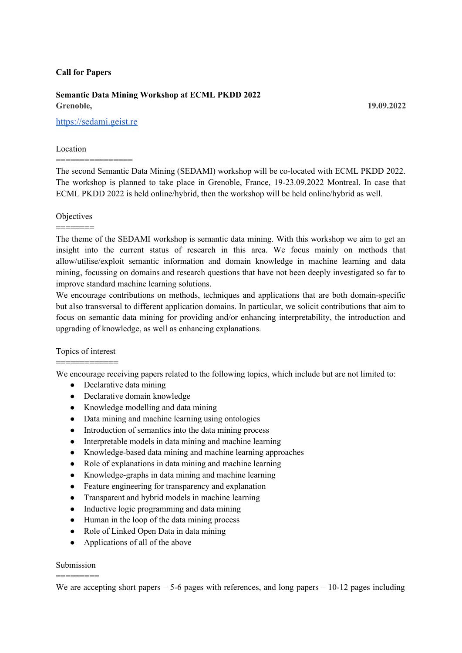#### **Call for Papers**

# **Semantic Data Mining Workshop at ECML PKDD 2022 Grenoble, 19.09.2022**

[https://sedami.geist.re](https://sedami.geist.re/)

================

### Location

The second Semantic Data Mining (SEDAMI) workshop will be co-located with ECML PKDD 2022. The workshop is planned to take place in Grenoble, France, 19-23.09.2022 Montreal. In case that ECML PKDD 2022 is held online/hybrid, then the workshop will be held online/hybrid as well.

### **Objectives** ========

The theme of the SEDAMI workshop is semantic data mining. With this workshop we aim to get an insight into the current status of research in this area. We focus mainly on methods that allow/utilise/exploit semantic information and domain knowledge in machine learning and data mining, focussing on domains and research questions that have not been deeply investigated so far to improve standard machine learning solutions.

We encourage contributions on methods, techniques and applications that are both domain-specific but also transversal to different application domains. In particular, we solicit contributions that aim to focus on semantic data mining for providing and/or enhancing interpretability, the introduction and upgrading of knowledge, as well as enhancing explanations.

### Topics of interest =============

We encourage receiving papers related to the following topics, which include but are not limited to:

- Declarative data mining
- Declarative domain knowledge
- Knowledge modelling and data mining
- Data mining and machine learning using ontologies
- Introduction of semantics into the data mining process
- Interpretable models in data mining and machine learning
- Knowledge-based data mining and machine learning approaches
- Role of explanations in data mining and machine learning
- Knowledge-graphs in data mining and machine learning
- Feature engineering for transparency and explanation
- Transparent and hybrid models in machine learning
- Inductive logic programming and data mining
- Human in the loop of the data mining process
- Role of Linked Open Data in data mining
- Applications of all of the above

## Submission =========

We are accepting short papers – 5-6 pages with references, and long papers – 10-12 pages including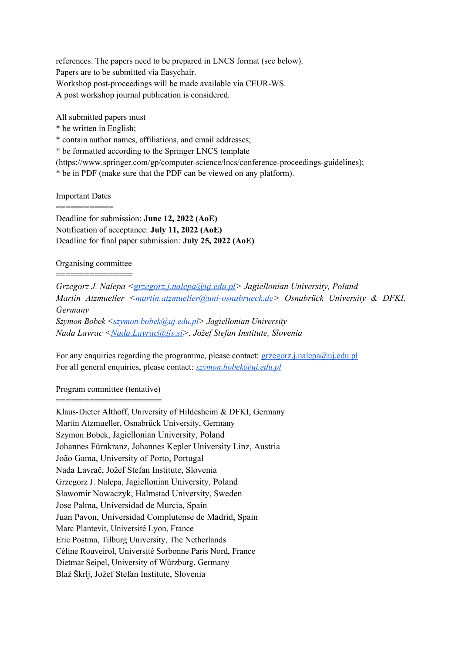references. The papers need to be prepared in LNCS format (see below). Papers are to be submitted via Easychair. Workshop post-proceedings will be made available via CEUR-WS. A post workshop journal publication is considered.

All submitted papers must

\* be written in English;

\* contain author names, affiliations, and email addresses;

\* be formatted according to the Springer LNCS template

(https://www.springer.com/gp/computer-science/lncs/conference-proceedings-guidelines);

\* be in PDF (make sure that the PDF can be viewed on any platform).

Important Dates ============

Deadline for submission: **June 12, 2022 (AoE)** Notification of acceptance: **July 11, 2022 (AoE)** Deadline for final paper submission: **July 25, 2022 (AoE)**

Organising committee ================

*Grzegorz J. Nalepa [<grzegorz.j.nalepa@uj.edu.pl>](mailto:grzegorz.j.nalepa@uj.edu.pl) Jagiellonian University, Poland Martin Atzmueller <[martin.atzmueller@uni-osnabrueck.de>](mailto:martin.atzmueller@uni-osnabrueck.de) Osnabrück University & DFKI, Germany Szymon Bobek [<szymon.bobek@uj.edu.pl](mailto:szymon.bobek@uj.edu.pl)> Jagiellonian University Nada Lavrac [<Nada.Lavrac@ijs.si](mailto:Nada.Lavrac@ijs.si)>, Jožef Stefan Institute, Slovenia*

For any enquiries regarding the programme, please contact:  $grzegorz.j.nalepa@ui.edu.pl$ For all general enquiries, please contact: *[szymon.bobek@uj.edu.pl](mailto:szymon.bobek@uj.edu.pl)*

Program committee (tentative) =======================

Klaus-Dieter Althoff, University of Hildesheim & DFKI, Germany Martin Atzmueller, Osnabrück University, Germany Szymon Bobek, Jagiellonian University, Poland Johannes Fürnkranz, Johannes Kepler University Linz, Austria João Gama, University of Porto, Portugal Nada Lavrač, Jožef Stefan Institute, Slovenia Grzegorz J. Nalepa, Jagiellonian University, Poland Sławomir Nowaczyk, Halmstad University, Sweden Jose Palma, Universidad de Murcia, Spain Juan Pavon, Universidad Complutense de Madrid, Spain Marc Plantevit, Université Lyon, France Eric Postma, Tilburg University, The Netherlands Céline Rouveirol, Université Sorbonne Paris Nord, France Dietmar Seipel, University of Würzburg, Germany Blaž Škrlj, Jožef Stefan Institute, Slovenia